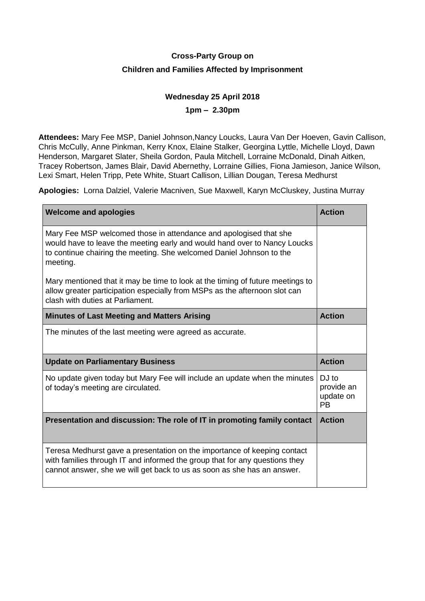# **Cross-Party Group on Children and Families Affected by Imprisonment**

## **Wednesday 25 April 2018**

**1pm – 2.30pm**

**Attendees:** Mary Fee MSP, Daniel Johnson,Nancy Loucks, Laura Van Der Hoeven, Gavin Callison, Chris McCully, Anne Pinkman, Kerry Knox, Elaine Stalker, Georgina Lyttle, Michelle Lloyd, Dawn Henderson, Margaret Slater, Sheila Gordon, Paula Mitchell, Lorraine McDonald, Dinah Aitken, Tracey Robertson, James Blair, David Abernethy, Lorraine Gillies, Fiona Jamieson, Janice Wilson, Lexi Smart, Helen Tripp, Pete White, Stuart Callison, Lillian Dougan, Teresa Medhurst

**Apologies:** Lorna Dalziel, Valerie Macniven, Sue Maxwell, Karyn McCluskey, Justina Murray

| <b>Welcome and apologies</b>                                                                                                                                                                                                       | <b>Action</b>                                 |
|------------------------------------------------------------------------------------------------------------------------------------------------------------------------------------------------------------------------------------|-----------------------------------------------|
| Mary Fee MSP welcomed those in attendance and apologised that she<br>would have to leave the meeting early and would hand over to Nancy Loucks<br>to continue chairing the meeting. She welcomed Daniel Johnson to the<br>meeting. |                                               |
| Mary mentioned that it may be time to look at the timing of future meetings to<br>allow greater participation especially from MSPs as the afternoon slot can<br>clash with duties at Parliament.                                   |                                               |
| <b>Minutes of Last Meeting and Matters Arising</b>                                                                                                                                                                                 | <b>Action</b>                                 |
| The minutes of the last meeting were agreed as accurate.                                                                                                                                                                           |                                               |
| <b>Update on Parliamentary Business</b>                                                                                                                                                                                            | <b>Action</b>                                 |
| No update given today but Mary Fee will include an update when the minutes<br>of today's meeting are circulated.                                                                                                                   | DJ to<br>provide an<br>update on<br><b>PB</b> |
| Presentation and discussion: The role of IT in promoting family contact                                                                                                                                                            | <b>Action</b>                                 |
| Teresa Medhurst gave a presentation on the importance of keeping contact<br>with families through IT and informed the group that for any questions they<br>cannot answer, she we will get back to us as soon as she has an answer. |                                               |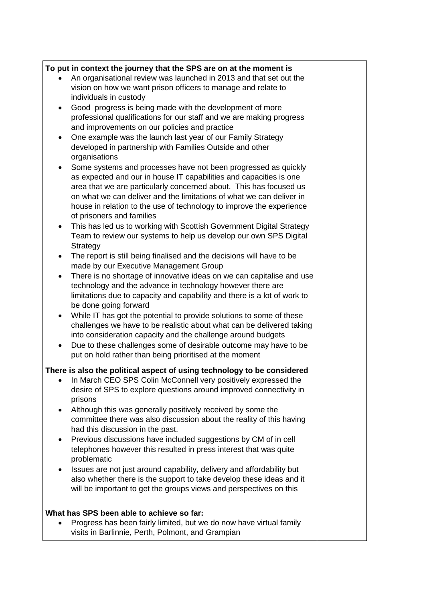## **To put in context the journey that the SPS are on at the moment is**

- An organisational review was launched in 2013 and that set out the vision on how we want prison officers to manage and relate to individuals in custody
- Good progress is being made with the development of more professional qualifications for our staff and we are making progress and improvements on our policies and practice
- One example was the launch last year of our Family Strategy developed in partnership with Families Outside and other organisations
- Some systems and processes have not been progressed as quickly as expected and our in house IT capabilities and capacities is one area that we are particularly concerned about. This has focused us on what we can deliver and the limitations of what we can deliver in house in relation to the use of technology to improve the experience of prisoners and families
- This has led us to working with Scottish Government Digital Strategy Team to review our systems to help us develop our own SPS Digital **Strategy**
- The report is still being finalised and the decisions will have to be made by our Executive Management Group
- There is no shortage of innovative ideas on we can capitalise and use technology and the advance in technology however there are limitations due to capacity and capability and there is a lot of work to be done going forward
- While IT has got the potential to provide solutions to some of these challenges we have to be realistic about what can be delivered taking into consideration capacity and the challenge around budgets
- Due to these challenges some of desirable outcome may have to be put on hold rather than being prioritised at the moment

## **There is also the political aspect of using technology to be considered**

- In March CEO SPS Colin McConnell very positively expressed the desire of SPS to explore questions around improved connectivity in prisons
- Although this was generally positively received by some the committee there was also discussion about the reality of this having had this discussion in the past.
- Previous discussions have included suggestions by CM of in cell telephones however this resulted in press interest that was quite problematic
- Issues are not just around capability, delivery and affordability but also whether there is the support to take develop these ideas and it will be important to get the groups views and perspectives on this

## **What has SPS been able to achieve so far:**

• Progress has been fairly limited, but we do now have virtual family visits in Barlinnie, Perth, Polmont, and Grampian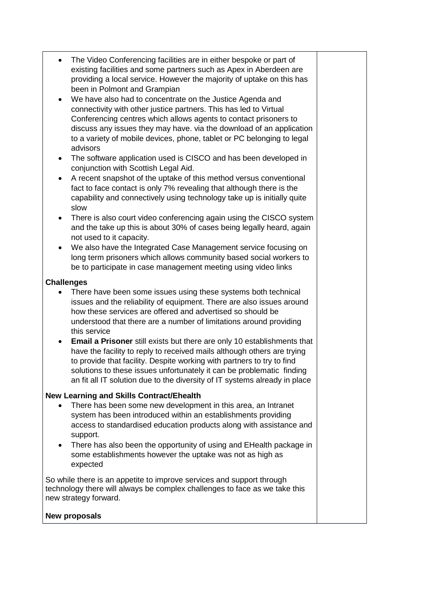- The Video Conferencing facilities are in either bespoke or part of existing facilities and some partners such as Apex in Aberdeen are providing a local service. However the majority of uptake on this has been in Polmont and Grampian
- We have also had to concentrate on the Justice Agenda and connectivity with other justice partners. This has led to Virtual Conferencing centres which allows agents to contact prisoners to discuss any issues they may have. via the download of an application to a variety of mobile devices, phone, tablet or PC belonging to legal advisors
- The software application used is CISCO and has been developed in conjunction with Scottish Legal Aid.
- A recent snapshot of the uptake of this method versus conventional fact to face contact is only 7% revealing that although there is the capability and connectively using technology take up is initially quite slow
- There is also court video conferencing again using the CISCO system and the take up this is about 30% of cases being legally heard, again not used to it capacity.
- We also have the Integrated Case Management service focusing on long term prisoners which allows community based social workers to be to participate in case management meeting using video links

## **Challenges**

- There have been some issues using these systems both technical issues and the reliability of equipment. There are also issues around how these services are offered and advertised so should be understood that there are a number of limitations around providing this service
- **Email a Prisoner** still exists but there are only 10 establishments that have the facility to reply to received mails although others are trying to provide that facility. Despite working with partners to try to find solutions to these issues unfortunately it can be problematic finding an fit all IT solution due to the diversity of IT systems already in place

## **New Learning and Skills Contract/Ehealth**

- There has been some new development in this area, an Intranet system has been introduced within an establishments providing access to standardised education products along with assistance and support.
- There has also been the opportunity of using and EHealth package in some establishments however the uptake was not as high as expected

So while there is an appetite to improve services and support through technology there will always be complex challenges to face as we take this new strategy forward.

## **New proposals**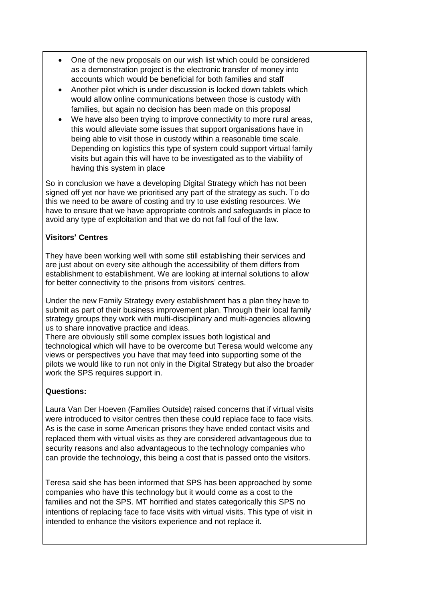- One of the new proposals on our wish list which could be considered as a demonstration project is the electronic transfer of money into accounts which would be beneficial for both families and staff
- Another pilot which is under discussion is locked down tablets which would allow online communications between those is custody with families, but again no decision has been made on this proposal
- We have also been trying to improve connectivity to more rural areas, this would alleviate some issues that support organisations have in being able to visit those in custody within a reasonable time scale. Depending on logistics this type of system could support virtual family visits but again this will have to be investigated as to the viability of having this system in place

So in conclusion we have a developing Digital Strategy which has not been signed off yet nor have we prioritised any part of the strategy as such. To do this we need to be aware of costing and try to use existing resources. We have to ensure that we have appropriate controls and safeguards in place to avoid any type of exploitation and that we do not fall foul of the law.

#### **Visitors' Centres**

They have been working well with some still establishing their services and are just about on every site although the accessibility of them differs from establishment to establishment. We are looking at internal solutions to allow for better connectivity to the prisons from visitors' centres.

Under the new Family Strategy every establishment has a plan they have to submit as part of their business improvement plan. Through their local family strategy groups they work with multi-disciplinary and multi-agencies allowing us to share innovative practice and ideas.

There are obviously still some complex issues both logistical and technological which will have to be overcome but Teresa would welcome any views or perspectives you have that may feed into supporting some of the pilots we would like to run not only in the Digital Strategy but also the broader work the SPS requires support in.

## **Questions:**

Laura Van Der Hoeven (Families Outside) raised concerns that if virtual visits were introduced to visitor centres then these could replace face to face visits. As is the case in some American prisons they have ended contact visits and replaced them with virtual visits as they are considered advantageous due to security reasons and also advantageous to the technology companies who can provide the technology, this being a cost that is passed onto the visitors.

Teresa said she has been informed that SPS has been approached by some companies who have this technology but it would come as a cost to the families and not the SPS. MT horrified and states categorically this SPS no intentions of replacing face to face visits with virtual visits. This type of visit in intended to enhance the visitors experience and not replace it.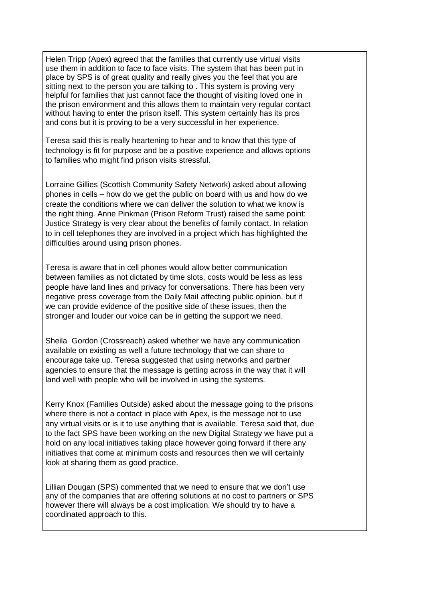Helen Tripp (Apex) agreed that the families that currently use virtual visits use them in addition to face to face visits. The system that has been put in place by SPS is of great quality and really gives you the feel that you are sitting next to the person you are talking to . This system is proving very helpful for families that just cannot face the thought of visiting loved one in the prison environment and this allows them to maintain very regular contact without having to enter the prison itself. This system certainly has its pros and cons but it is proving to be a very successful in her experience.

Teresa said this is really heartening to hear and to know that this type of technology is fit for purpose and be a positive experience and allows options to families who might find prison visits stressful.

Lorraine Gillies (Scottish Community Safety Network) asked about allowing phones in cells – how do we get the public on board with us and how do we create the conditions where we can deliver the solution to what we know is the right thing. Anne Pinkman (Prison Reform Trust) raised the same point: Justice Strategy is very clear about the benefits of family contact. In relation to in cell telephones they are involved in a project which has highlighted the difficulties around using prison phones.

Teresa is aware that in cell phones would allow better communication between families as not dictated by time slots, costs would be less as less people have land lines and privacy for conversations. There has been very negative press coverage from the Daily MaiI affecting public opinion, but if we can provide evidence of the positive side of these issues, then the stronger and louder our voice can be in getting the support we need.

Sheila Gordon (Crossreach) asked whether we have any communication available on existing as well a future technology that we can share to encourage take up. Teresa suggested that using networks and partner agencies to ensure that the message is getting across in the way that it will land well with people who will be involved in using the systems.

Kerry Knox (Families Outside) asked about the message going to the prisons where there is not a contact in place with Apex, is the message not to use any virtual visits or is it to use anything that is available. Teresa said that, due to the fact SPS have been working on the new Digital Strategy we have put a hold on any local initiatives taking place however going forward if there any initiatives that come at minimum costs and resources then we will certainly look at sharing them as good practice.

Lillian Dougan (SPS) commented that we need to ensure that we don't use any of the companies that are offering solutions at no cost to partners or SPS however there will always be a cost implication. We should try to have a coordinated approach to this.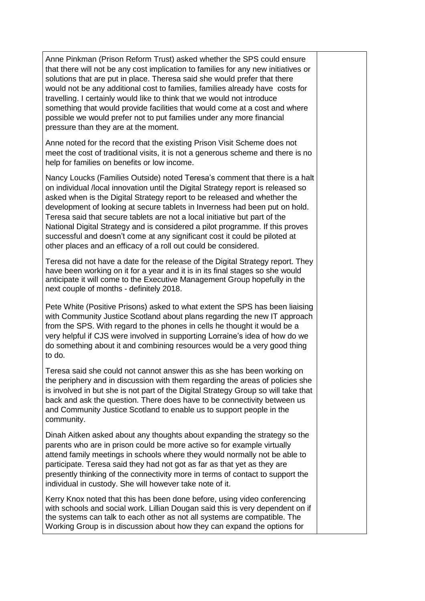Anne Pinkman (Prison Reform Trust) asked whether the SPS could ensure that there will not be any cost implication to families for any new initiatives or solutions that are put in place. Theresa said she would prefer that there would not be any additional cost to families, families already have costs for travelling. I certainly would like to think that we would not introduce something that would provide facilities that would come at a cost and where possible we would prefer not to put families under any more financial pressure than they are at the moment.

Anne noted for the record that the existing Prison Visit Scheme does not meet the cost of traditional visits, it is not a generous scheme and there is no help for families on benefits or low income.

Nancy Loucks (Families Outside) noted Teresa's comment that there is a halt on individual /local innovation until the Digital Strategy report is released so asked when is the Digital Strategy report to be released and whether the development of looking at secure tablets in Inverness had been put on hold. Teresa said that secure tablets are not a local initiative but part of the National Digital Strategy and is considered a pilot programme. If this proves successful and doesn't come at any significant cost it could be piloted at other places and an efficacy of a roll out could be considered.

Teresa did not have a date for the release of the Digital Strategy report. They have been working on it for a year and it is in its final stages so she would anticipate it will come to the Executive Management Group hopefully in the next couple of months - definitely 2018.

Pete White (Positive Prisons) asked to what extent the SPS has been liaising with Community Justice Scotland about plans regarding the new IT approach from the SPS. With regard to the phones in cells he thought it would be a very helpful if CJS were involved in supporting Lorraine's idea of how do we do something about it and combining resources would be a very good thing to do.

Teresa said she could not cannot answer this as she has been working on the periphery and in discussion with them regarding the areas of policies she is involved in but she is not part of the Digital Strategy Group so will take that back and ask the question. There does have to be connectivity between us and Community Justice Scotland to enable us to support people in the community.

Dinah Aitken asked about any thoughts about expanding the strategy so the parents who are in prison could be more active so for example virtually attend family meetings in schools where they would normally not be able to participate. Teresa said they had not got as far as that yet as they are presently thinking of the connectivity more in terms of contact to support the individual in custody. She will however take note of it.

Kerry Knox noted that this has been done before, using video conferencing with schools and social work. Lillian Dougan said this is very dependent on if the systems can talk to each other as not all systems are compatible. The Working Group is in discussion about how they can expand the options for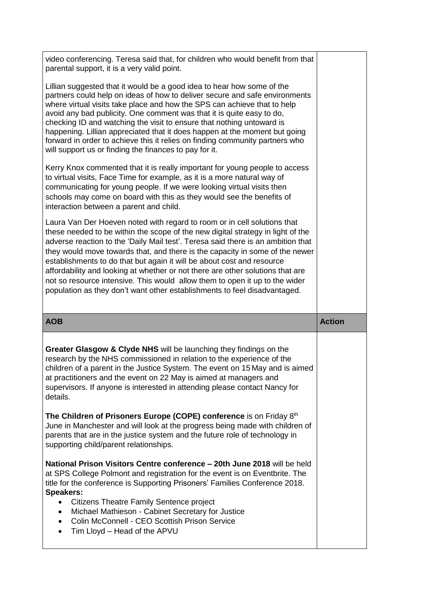| video conferencing. Teresa said that, for children who would benefit from that<br>parental support, it is a very valid point.                                                                                                                                                                                                                                                                                                                                                                                                                                                                                                                           |               |
|---------------------------------------------------------------------------------------------------------------------------------------------------------------------------------------------------------------------------------------------------------------------------------------------------------------------------------------------------------------------------------------------------------------------------------------------------------------------------------------------------------------------------------------------------------------------------------------------------------------------------------------------------------|---------------|
| Lillian suggested that it would be a good idea to hear how some of the<br>partners could help on ideas of how to deliver secure and safe environments<br>where virtual visits take place and how the SPS can achieve that to help<br>avoid any bad publicity. One comment was that it is quite easy to do,<br>checking ID and watching the visit to ensure that nothing untoward is<br>happening. Lillian appreciated that it does happen at the moment but going<br>forward in order to achieve this it relies on finding community partners who<br>will support us or finding the finances to pay for it.                                             |               |
| Kerry Knox commented that it is really important for young people to access<br>to virtual visits, Face Time for example, as it is a more natural way of<br>communicating for young people. If we were looking virtual visits then<br>schools may come on board with this as they would see the benefits of<br>interaction between a parent and child.                                                                                                                                                                                                                                                                                                   |               |
| Laura Van Der Hoeven noted with regard to room or in cell solutions that<br>these needed to be within the scope of the new digital strategy in light of the<br>adverse reaction to the 'Daily Mail test'. Teresa said there is an ambition that<br>they would move towards that, and there is the capacity in some of the newer<br>establishments to do that but again it will be about cost and resource<br>affordability and looking at whether or not there are other solutions that are<br>not so resource intensive. This would allow them to open it up to the wider<br>population as they don't want other establishments to feel disadvantaged. |               |
|                                                                                                                                                                                                                                                                                                                                                                                                                                                                                                                                                                                                                                                         |               |
| <b>AOB</b>                                                                                                                                                                                                                                                                                                                                                                                                                                                                                                                                                                                                                                              | <b>Action</b> |
| Greater Glasgow & Clyde NHS will be launching they findings on the<br>research by the NHS commissioned in relation to the experience of the<br>children of a parent in the Justice System. The event on 15 May and is aimed<br>at practitioners and the event on 22 May is aimed at managers and<br>supervisors. If anyone is interested in attending please contact Nancy for<br>details.                                                                                                                                                                                                                                                              |               |
| The Children of Prisoners Europe (COPE) conference is on Friday 8th<br>June in Manchester and will look at the progress being made with children of<br>parents that are in the justice system and the future role of technology in<br>supporting child/parent relationships.                                                                                                                                                                                                                                                                                                                                                                            |               |
| National Prison Visitors Centre conference - 20th June 2018 will be held<br>at SPS College Polmont and registration for the event is on Eventbrite. The<br>title for the conference is Supporting Prisoners' Families Conference 2018.<br><b>Speakers:</b><br>Citizens Theatre Family Sentence project<br>$\bullet$<br>Michael Mathieson - Cabinet Secretary for Justice<br>$\bullet$<br>Colin McConnell - CEO Scottish Prison Service<br>$\bullet$<br>Tim Lloyd - Head of the APVU                                                                                                                                                                     |               |